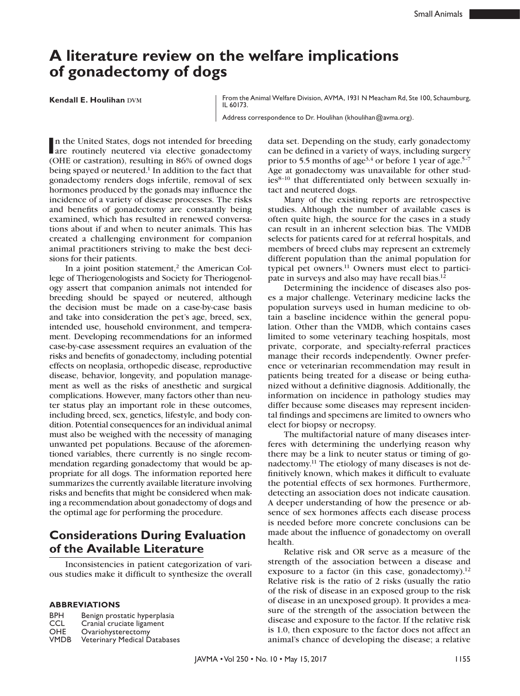# **A literature review on the welfare implications of gonadectomy of dogs**

Kendall E. Houlihan DVM **From the Animal Welfare Division, AVMA, 1931 N** Meacham Rd, Ste 100, Schaumburg, IL 60173.

Address correspondence to Dr. Houlihan ([khoulihan@avma.org](mailto:khoulihan@avma.org)).

In the United States, dogs not intended for breeding are routinely neutered via elective gonadectomy are routinely neutered via elective gonadectomy (OHE or castration), resulting in 86% of owned dogs being spayed or neutered.<sup>1</sup> In addition to the fact that gonadectomy renders dogs infertile, removal of sex hormones produced by the gonads may influence the incidence of a variety of disease processes. The risks and benefits of gonadectomy are constantly being examined, which has resulted in renewed conversations about if and when to neuter animals. This has created a challenging environment for companion animal practitioners striving to make the best decisions for their patients.

In a joint position statement, $2$  the American College of Theriogenologists and Society for Theriogenology assert that companion animals not intended for breeding should be spayed or neutered, although the decision must be made on a case-by-case basis and take into consideration the pet's age, breed, sex, intended use, household environment, and temperament. Developing recommendations for an informed case-by-case assessment requires an evaluation of the risks and benefits of gonadectomy, including potential effects on neoplasia, orthopedic disease, reproductive disease, behavior, longevity, and population management as well as the risks of anesthetic and surgical complications. However, many factors other than neuter status play an important role in these outcomes, including breed, sex, genetics, lifestyle, and body condition. Potential consequences for an individual animal must also be weighed with the necessity of managing unwanted pet populations. Because of the aforementioned variables, there currently is no single recommendation regarding gonadectomy that would be appropriate for all dogs. The information reported here summarizes the currently available literature involving risks and benefits that might be considered when making a recommendation about gonadectomy of dogs and the optimal age for performing the procedure.

# **Considerations During Evaluation of the Available Literature**

Inconsistencies in patient categorization of various studies make it difficult to synthesize the overall

#### **ABBREVIATIONS**

| BPH. | Benign prostatic hyperplasia        |
|------|-------------------------------------|
| CCL  | Cranial cruciate ligament           |
| OHE  | Ovariohysterectomy                  |
| VMDB | <b>Veterinary Medical Databases</b> |

data set. Depending on the study, early gonadectomy can be defined in a variety of ways, including surgery prior to 5.5 months of age<sup>3,4</sup> or before 1 year of age.<sup>5-7</sup> Age at gonadectomy was unavailable for other stud $ies<sup>8-10</sup>$  that differentiated only between sexually intact and neutered dogs.

Many of the existing reports are retrospective studies. Although the number of available cases is often quite high, the source for the cases in a study can result in an inherent selection bias. The VMDB selects for patients cared for at referral hospitals, and members of breed clubs may represent an extremely different population than the animal population for typical pet owners.<sup>11</sup> Owners must elect to participate in surveys and also may have recall bias.12

Determining the incidence of diseases also poses a major challenge. Veterinary medicine lacks the population surveys used in human medicine to obtain a baseline incidence within the general population. Other than the VMDB, which contains cases limited to some veterinary teaching hospitals, most private, corporate, and specialty-referral practices manage their records independently. Owner preference or veterinarian recommendation may result in patients being treated for a disease or being euthanized without a definitive diagnosis. Additionally, the information on incidence in pathology studies may differ because some diseases may represent incidental findings and specimens are limited to owners who elect for biopsy or necropsy.

The multifactorial nature of many diseases interferes with determining the underlying reason why there may be a link to neuter status or timing of gonadectomy.11 The etiology of many diseases is not definitively known, which makes it difficult to evaluate the potential effects of sex hormones. Furthermore, detecting an association does not indicate causation. A deeper understanding of how the presence or absence of sex hormones affects each disease process is needed before more concrete conclusions can be made about the influence of gonadectomy on overall health.

Relative risk and OR serve as a measure of the strength of the association between a disease and exposure to a factor (in this case, gonadectomy). $12$ Relative risk is the ratio of 2 risks (usually the ratio of the risk of disease in an exposed group to the risk of disease in an unexposed group). It provides a measure of the strength of the association between the disease and exposure to the factor. If the relative risk is 1.0, then exposure to the factor does not affect an animal's chance of developing the disease; a relative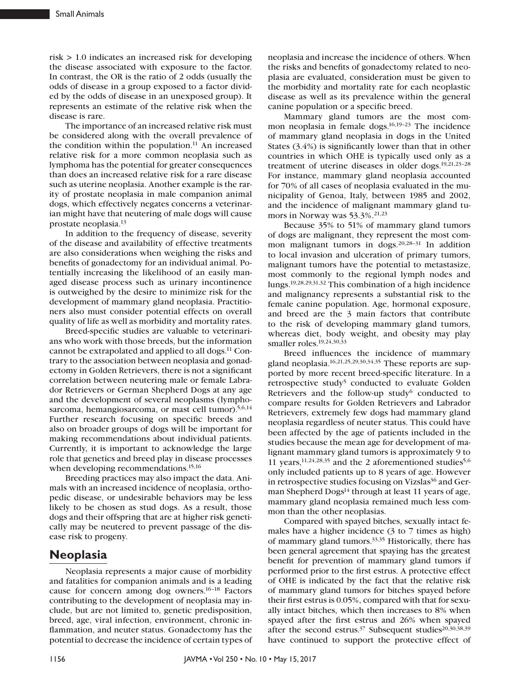risk > 1.0 indicates an increased risk for developing the disease associated with exposure to the factor. In contrast, the OR is the ratio of 2 odds (usually the odds of disease in a group exposed to a factor divided by the odds of disease in an unexposed group). It represents an estimate of the relative risk when the disease is rare.

The importance of an increased relative risk must be considered along with the overall prevalence of the condition within the population.<sup>11</sup> An increased relative risk for a more common neoplasia such as lymphoma has the potential for greater consequences than does an increased relative risk for a rare disease such as uterine neoplasia. Another example is the rarity of prostate neoplasia in male companion animal dogs, which effectively negates concerns a veterinarian might have that neutering of male dogs will cause prostate neoplasia.13

In addition to the frequency of disease, severity of the disease and availability of effective treatments are also considerations when weighing the risks and benefits of gonadectomy for an individual animal. Potentially increasing the likelihood of an easily managed disease process such as urinary incontinence is outweighed by the desire to minimize risk for the development of mammary gland neoplasia. Practitioners also must consider potential effects on overall quality of life as well as morbidity and mortality rates.

Breed-specific studies are valuable to veterinarians who work with those breeds, but the information cannot be extrapolated and applied to all dogs.11 Contrary to the association between neoplasia and gonadectomy in Golden Retrievers, there is not a significant correlation between neutering male or female Labrador Retrievers or German Shepherd Dogs at any age and the development of several neoplasms (lymphosarcoma, hemangiosarcoma, or mast cell tumor).<sup>5,6,14</sup> Further research focusing on specific breeds and also on broader groups of dogs will be important for making recommendations about individual patients. Currently, it is important to acknowledge the large role that genetics and breed play in disease processes when developing recommendations.<sup>15,16</sup>

Breeding practices may also impact the data. Animals with an increased incidence of neoplasia, orthopedic disease, or undesirable behaviors may be less likely to be chosen as stud dogs. As a result, those dogs and their offspring that are at higher risk genetically may be neutered to prevent passage of the disease risk to progeny.

# **Neoplasia**

Neoplasia represents a major cause of morbidity and fatalities for companion animals and is a leading cause for concern among dog owners.16–18 Factors contributing to the development of neoplasia may include, but are not limited to, genetic predisposition, breed, age, viral infection, environment, chronic inflammation, and neuter status. Gonadectomy has the potential to decrease the incidence of certain types of neoplasia and increase the incidence of others. When the risks and benefits of gonadectomy related to neoplasia are evaluated, consideration must be given to the morbidity and mortality rate for each neoplastic disease as well as its prevalence within the general canine population or a specific breed.

Mammary gland tumors are the most common neoplasia in female dogs.16,19–23 The incidence of mammary gland neoplasia in dogs in the United States (3.4%) is significantly lower than that in other countries in which OHE is typically used only as a treatment of uterine diseases in older dogs.19,21,23–28 For instance, mammary gland neoplasia accounted for 70% of all cases of neoplasia evaluated in the municipality of Genoa, Italy, between 1985 and 2002, and the incidence of malignant mammary gland tumors in Norway was  $53.3\%$ .<sup>21,23</sup>

Because 35% to 51% of mammary gland tumors of dogs are malignant, they represent the most common malignant tumors in dogs.20,28–31 In addition to local invasion and ulceration of primary tumors, malignant tumors have the potential to metastasize, most commonly to the regional lymph nodes and lungs.19,28,29,31,32 This combination of a high incidence and malignancy represents a substantial risk to the female canine population. Age, hormonal exposure, and breed are the 3 main factors that contribute to the risk of developing mammary gland tumors, whereas diet, body weight, and obesity may play smaller roles.19,24,30,33

Breed influences the incidence of mammary gland neoplasia.16,21,25,29,30,34,35 These reports are supported by more recent breed-specific literature. In a retrospective study<sup>5</sup> conducted to evaluate Golden Retrievers and the follow-up study $6$  conducted to compare results for Golden Retrievers and Labrador Retrievers, extremely few dogs had mammary gland neoplasia regardless of neuter status. This could have been affected by the age of patients included in the studies because the mean age for development of malignant mammary gland tumors is approximately 9 to 11 years,  $11,24,28,35$  and the 2 aforementioned studies<sup>5,6</sup> only included patients up to 8 years of age. However in retrospective studies focusing on Vizslas<sup>36</sup> and German Shepherd Dogs<sup>14</sup> through at least 11 years of age, mammary gland neoplasia remained much less common than the other neoplasias.

Compared with spayed bitches, sexually intact females have a higher incidence (3 to 7 times as high) of mammary gland tumors.33,35 Historically, there has been general agreement that spaying has the greatest benefit for prevention of mammary gland tumors if performed prior to the first estrus. A protective effect of OHE is indicated by the fact that the relative risk of mammary gland tumors for bitches spayed before their first estrus is 0.05%, compared with that for sexually intact bitches, which then increases to 8% when spayed after the first estrus and 26% when spayed after the second estrus.<sup>37</sup> Subsequent studies<sup>20,30,38,39</sup> have continued to support the protective effect of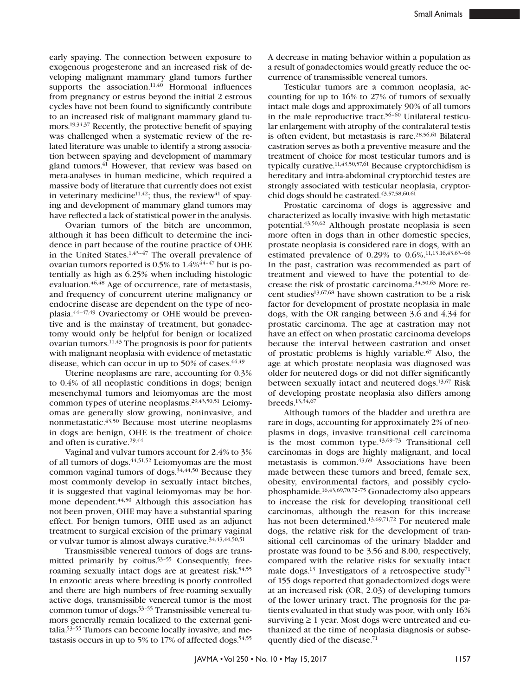early spaying. The connection between exposure to exogenous progesterone and an increased risk of developing malignant mammary gland tumors further supports the association. $11,40$  Hormonal influences from pregnancy or estrus beyond the initial 2 estrous cycles have not been found to significantly contribute to an increased risk of malignant mammary gland tumors.19,34,37 Recently, the protective benefit of spaying was challenged when a systematic review of the related literature was unable to identify a strong association between spaying and development of mammary gland tumors.<sup>41</sup> However, that review was based on meta-analyses in human medicine, which required a massive body of literature that currently does not exist in veterinary medicine<sup>11,42</sup>; thus, the review<sup>41</sup> of spaying and development of mammary gland tumors may have reflected a lack of statistical power in the analysis.

Ovarian tumors of the bitch are uncommon, although it has been difficult to determine the incidence in part because of the routine practice of OHE in the United States.1,43–47 The overall prevalence of ovarian tumors reported is 0.5% to  $1.4\%$ <sup>44-47</sup> but is potentially as high as 6.25% when including histologic evaluation.<sup>46,48</sup> Age of occurrence, rate of metastasis, and frequency of concurrent uterine malignancy or endocrine disease are dependent on the type of neoplasia.44–47,49 Ovariectomy or OHE would be preventive and is the mainstay of treatment, but gonadectomy would only be helpful for benign or localized ovarian tumors.11,43 The prognosis is poor for patients with malignant neoplasia with evidence of metastatic disease, which can occur in up to 50% of cases.<sup>44,49</sup>

Uterine neoplasms are rare, accounting for 0.3% to 0.4% of all neoplastic conditions in dogs; benign mesenchymal tumors and leiomyomas are the most common types of uterine neoplasms.29,43,50,51 Leiomyomas are generally slow growing, noninvasive, and nonmetastatic.<sup>43,50</sup> Because most uterine neoplasms in dogs are benign, OHE is the treatment of choice and often is curative.29,44

Vaginal and vulvar tumors account for 2.4% to 3% of all tumors of dogs.44,51,52 Leiomyomas are the most common vaginal tumors of dogs. $34,44,50$  Because they most commonly develop in sexually intact bitches, it is suggested that vaginal leiomyomas may be hormone dependent.<sup>44,50</sup> Although this association has not been proven, OHE may have a substantial sparing effect. For benign tumors, OHE used as an adjunct treatment to surgical excision of the primary vaginal or vulvar tumor is almost always curative.34,43,44,50,51

Transmissible venereal tumors of dogs are transmitted primarily by coitus.<sup>53-55</sup> Consequently, freeroaming sexually intact dogs are at greatest risk.<sup>54,55</sup> In enzootic areas where breeding is poorly controlled and there are high numbers of free-roaming sexually active dogs, transmissible venereal tumor is the most common tumor of dogs.53–55 Transmissible venereal tumors generally remain localized to the external genitalia.53–55 Tumors can become locally invasive, and metastasis occurs in up to 5% to 17% of affected dogs. $54,55$ 

A decrease in mating behavior within a population as a result of gonadectomies would greatly reduce the occurrence of transmissible venereal tumors.

Testicular tumors are a common neoplasia, accounting for up to 16% to 27% of tumors of sexually intact male dogs and approximately 90% of all tumors in the male reproductive tract.<sup>56-60</sup> Unilateral testicular enlargement with atrophy of the contralateral testis is often evident, but metastasis is rare.28,56,61 Bilateral castration serves as both a preventive measure and the treatment of choice for most testicular tumors and is typically curative.11,43,50,57,61 Because cryptorchidism is hereditary and intra-abdominal cryptorchid testes are strongly associated with testicular neoplasia, cryptorchid dogs should be castrated.<sup>43,57,58,60,61</sup>

Prostatic carcinoma of dogs is aggressive and characterized as locally invasive with high metastatic potential.43,50,62 Although prostate neoplasia is seen more often in dogs than in other domestic species, prostate neoplasia is considered rare in dogs, with an estimated prevalence of 0.29% to 0.6%.11,13,16,43,63–66 In the past, castration was recommended as part of treatment and viewed to have the potential to decrease the risk of prostatic carcinoma.34,50,63 More recent studies<sup>13,67,68</sup> have shown castration to be a risk factor for development of prostate neoplasia in male dogs, with the OR ranging between 3.6 and 4.34 for prostatic carcinoma. The age at castration may not have an effect on when prostatic carcinoma develops because the interval between castration and onset of prostatic problems is highly variable. $67$  Also, the age at which prostate neoplasia was diagnosed was older for neutered dogs or did not differ significantly between sexually intact and neutered dogs.13,67 Risk of developing prostate neoplasia also differs among breeds.13,34,67

Although tumors of the bladder and urethra are rare in dogs, accounting for approximately 2% of neoplasms in dogs, invasive transitional cell carcinoma is the most common type. $43,69-73$  Transitional cell carcinomas in dogs are highly malignant, and local metastasis is common. $43,69$  Associations have been made between these tumors and breed, female sex, obesity, environmental factors, and possibly cyclophosphamide.16,43,69,70,72–75 Gonadectomy also appears to increase the risk for developing transitional cell carcinomas, although the reason for this increase has not been determined.<sup>13,69,71,72</sup> For neutered male dogs, the relative risk for the development of transitional cell carcinomas of the urinary bladder and prostate was found to be 3.56 and 8.00, respectively, compared with the relative risks for sexually intact male dogs.<sup>13</sup> Investigators of a retrospective study<sup>71</sup> of 155 dogs reported that gonadectomized dogs were at an increased risk (OR, 2.03) of developing tumors of the lower urinary tract. The prognosis for the patients evaluated in that study was poor, with only 16% surviving  $\geq 1$  year. Most dogs were untreated and euthanized at the time of neoplasia diagnosis or subsequently died of the disease.71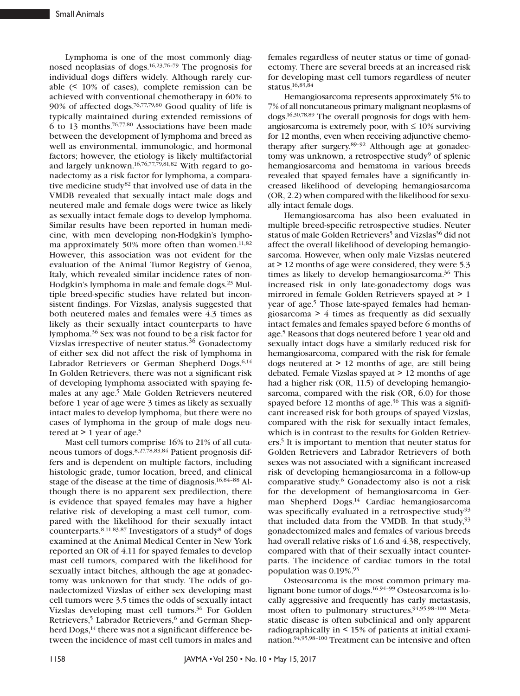Lymphoma is one of the most commonly diagnosed neoplasias of dogs.16,23,76–79 The prognosis for individual dogs differs widely. Although rarely curable (< 10% of cases), complete remission can be achieved with conventional chemotherapy in 60% to 90% of affected dogs.76,77,79,80 Good quality of life is typically maintained during extended remissions of 6 to 13 months.76,77,80 Associations have been made between the development of lymphoma and breed as well as environmental, immunologic, and hormonal factors; however, the etiology is likely multifactorial and largely unknown.16,76,77,79,81,82 With regard to gonadectomy as a risk factor for lymphoma, a comparative medicine study<sup>82</sup> that involved use of data in the VMDB revealed that sexually intact male dogs and neutered male and female dogs were twice as likely as sexually intact female dogs to develop lymphoma. Similar results have been reported in human medicine, with men developing non-Hodgkin's lymphoma approximately 50% more often than women.<sup>11,82</sup> However, this association was not evident for the evaluation of the Animal Tumor Registry of Genoa, Italy, which revealed similar incidence rates of non-Hodgkin's lymphoma in male and female dogs.23 Multiple breed-specific studies have related but inconsistent findings. For Vizslas, analysis suggested that both neutered males and females were 4.3 times as likely as their sexually intact counterparts to have lymphoma.36 Sex was not found to be a risk factor for Vizslas irrespective of neuter status.<sup>36</sup> Gonadectomy of either sex did not affect the risk of lymphoma in Labrador Retrievers or German Shepherd Dogs. $6,14$ In Golden Retrievers, there was not a significant risk of developing lymphoma associated with spaying females at any age.5 Male Golden Retrievers neutered before 1 year of age were 3 times as likely as sexually intact males to develop lymphoma, but there were no cases of lymphoma in the group of male dogs neutered at  $> 1$  year of age.<sup>5</sup>

Mast cell tumors comprise 16% to 21% of all cutaneous tumors of dogs.8,27,78,83,84 Patient prognosis differs and is dependent on multiple factors, including histologic grade, tumor location, breed, and clinical stage of the disease at the time of diagnosis.16,84–88 Although there is no apparent sex predilection, there is evidence that spayed females may have a higher relative risk of developing a mast cell tumor, compared with the likelihood for their sexually intact counterparts.<sup>8,11,83,87</sup> Investigators of a study<sup>8</sup> of dogs examined at the Animal Medical Center in New York reported an OR of 4.11 for spayed females to develop mast cell tumors, compared with the likelihood for sexually intact bitches, although the age at gonadectomy was unknown for that study. The odds of gonadectomized Vizslas of either sex developing mast cell tumors were 3.5 times the odds of sexually intact Vizslas developing mast cell tumors.<sup>36</sup> For Golden Retrievers,<sup>5</sup> Labrador Retrievers,<sup>6</sup> and German Shepherd Dogs,<sup>14</sup> there was not a significant difference between the incidence of mast cell tumors in males and

females regardless of neuter status or time of gonadectomy. There are several breeds at an increased risk for developing mast cell tumors regardless of neuter status.16,83,84

Hemangiosarcoma represents approximately 5% to 7% of all noncutaneous primary malignant neoplasms of dogs.16,30,78,89 The overall prognosis for dogs with hemangiosarcoma is extremely poor, with  $\leq 10\%$  surviving for 12 months, even when receiving adjunctive chemotherapy after surgery.89–92 Although age at gonadectomy was unknown, a retrospective study<sup>9</sup> of splenic hemangiosarcoma and hematoma in various breeds revealed that spayed females have a significantly increased likelihood of developing hemangiosarcoma (OR, 2.2) when compared with the likelihood for sexually intact female dogs.

Hemangiosarcoma has also been evaluated in multiple breed-specific retrospective studies. Neuter status of male Golden Retrievers<sup>5</sup> and Vizslas<sup>36</sup> did not affect the overall likelihood of developing hemangiosarcoma. However, when only male Vizslas neutered at > 12 months of age were considered, they were 5.3 times as likely to develop hemangiosarcoma.<sup>36</sup> This increased risk in only late-gonadectomy dogs was mirrored in female Golden Retrievers spayed at > 1 year of age.<sup>5</sup> Those late-spayed females had hemangiosarcoma > 4 times as frequently as did sexually intact females and females spayed before 6 months of age.5 Reasons that dogs neutered before 1 year old and sexually intact dogs have a similarly reduced risk for hemangiosarcoma, compared with the risk for female dogs neutered at > 12 months of age, are still being debated. Female Vizslas spayed at > 12 months of age had a higher risk (OR, 11.5) of developing hemangiosarcoma, compared with the risk (OR, 6.0) for those spayed before 12 months of age.<sup>36</sup> This was a significant increased risk for both groups of spayed Vizslas, compared with the risk for sexually intact females, which is in contrast to the results for Golden Retrievers.5 It is important to mention that neuter status for Golden Retrievers and Labrador Retrievers of both sexes was not associated with a significant increased risk of developing hemangiosarcoma in a follow-up comparative study.<sup>6</sup> Gonadectomy also is not a risk for the development of hemangiosarcoma in German Shepherd Dogs.14 Cardiac hemangiosarcoma was specifically evaluated in a retrospective study<sup>93</sup> that included data from the VMDB. In that study,  $93$ gonadectomized males and females of various breeds had overall relative risks of 1.6 and 4.38, respectively, compared with that of their sexually intact counterparts. The incidence of cardiac tumors in the total population was 0.19%.93

Osteosarcoma is the most common primary malignant bone tumor of dogs.16,94–99 Osteosarcoma is locally aggressive and frequently has early metastasis, most often to pulmonary structures.94,95,98–100 Metastatic disease is often subclinical and only apparent radiographically in < 15% of patients at initial examination.94,95,98–100 Treatment can be intensive and often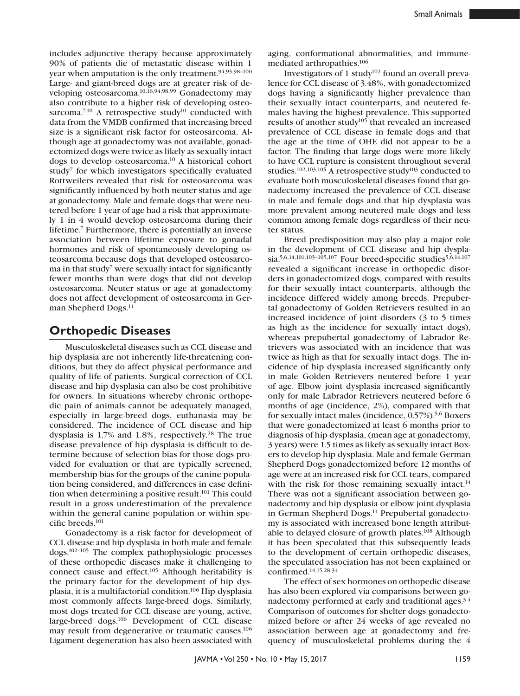includes adjunctive therapy because approximately 90% of patients die of metastatic disease within 1 year when amputation is the only treatment.<sup>94,95,98-100</sup> Large- and giant-breed dogs are at greater risk of developing osteosarcoma.10,16,94,98,99 Gonadectomy may also contribute to a higher risk of developing osteosarcoma.<sup>7,10</sup> A retrospective study<sup>10</sup> conducted with data from the VMDB confirmed that increasing breed size is a significant risk factor for osteosarcoma. Although age at gonadectomy was not available, gonadectomized dogs were twice as likely as sexually intact dogs to develop osteosarcoma.10 A historical cohort study7 for which investigators specifically evaluated Rottweilers revealed that risk for osteosarcoma was significantly influenced by both neuter status and age at gonadectomy. Male and female dogs that were neutered before 1 year of age had a risk that approximately 1 in 4 would develop osteosarcoma during their lifetime.<sup>7</sup> Furthermore, there is potentially an inverse association between lifetime exposure to gonadal hormones and risk of spontaneously developing osteosarcoma because dogs that developed osteosarcoma in that study<sup>7</sup> were sexually intact for significantly fewer months than were dogs that did not develop osteosarcoma. Neuter status or age at gonadectomy does not affect development of osteosarcoma in German Shepherd Dogs.14

### **Orthopedic Diseases**

Musculoskeletal diseases such as CCL disease and hip dysplasia are not inherently life-threatening conditions, but they do affect physical performance and quality of life of patients. Surgical correction of CCL disease and hip dysplasia can also be cost prohibitive for owners. In situations whereby chronic orthopedic pain of animals cannot be adequately managed, especially in large-breed dogs, euthanasia may be considered. The incidence of CCL disease and hip dysplasia is 1.7% and 1.8%, respectively.28 The true disease prevalence of hip dysplasia is difficult to determine because of selection bias for those dogs provided for evaluation or that are typically screened, membership bias for the groups of the canine population being considered, and differences in case definition when determining a positive result.101 This could result in a gross underestimation of the prevalence within the general canine population or within specific breeds.101

Gonadectomy is a risk factor for development of CCL disease and hip dysplasia in both male and female dogs.102–105 The complex pathophysiologic processes of these orthopedic diseases make it challenging to connect cause and effect.105 Although heritability is the primary factor for the development of hip dysplasia, it is a multifactorial condition.106 Hip dysplasia most commonly affects large-breed dogs. Similarly, most dogs treated for CCL disease are young, active, large-breed dogs.106 Development of CCL disease may result from degenerative or traumatic causes.<sup>106</sup> Ligament degeneration has also been associated with

aging, conformational abnormalities, and immunemediated arthropathies.106

Investigators of 1 study<sup>102</sup> found an overall prevalence for CCL disease of 3.48%, with gonadectomized dogs having a significantly higher prevalence than their sexually intact counterparts, and neutered females having the highest prevalence. This supported results of another study<sup>105</sup> that revealed an increased prevalence of CCL disease in female dogs and that the age at the time of OHE did not appear to be a factor. The finding that large dogs were more likely to have CCL rupture is consistent throughout several studies.102,103,105 A retrospective study103 conducted to evaluate both musculoskeletal diseases found that gonadectomy increased the prevalence of CCL disease in male and female dogs and that hip dysplasia was more prevalent among neutered male dogs and less common among female dogs regardless of their neuter status.

Breed predisposition may also play a major role in the development of CCL disease and hip dysplasia.<sup>5,6,14,101,103-105,107</sup> Four breed-specific studies<sup>5,6,14,107</sup> revealed a significant increase in orthopedic disorders in gonadectomized dogs, compared with results for their sexually intact counterparts, although the incidence differed widely among breeds. Prepubertal gonadectomy of Golden Retrievers resulted in an increased incidence of joint disorders (3 to 5 times as high as the incidence for sexually intact dogs), whereas prepubertal gonadectomy of Labrador Retrievers was associated with an incidence that was twice as high as that for sexually intact dogs. The incidence of hip dysplasia increased significantly only in male Golden Retrievers neutered before 1 year of age. Elbow joint dysplasia increased significantly only for male Labrador Retrievers neutered before 6 months of age (incidence, 2%), compared with that for sexually intact males (incidence, 0.57%).5,6 Boxers that were gonadectomized at least 6 months prior to diagnosis of hip dysplasia, (mean age at gonadectomy, 3 years) were 1.5 times as likely as sexually intact Boxers to develop hip dysplasia. Male and female German Shepherd Dogs gonadectomized before 12 months of age were at an increased risk for CCL tears, compared with the risk for those remaining sexually intact.<sup>14</sup> There was not a significant association between gonadectomy and hip dysplasia or elbow joint dysplasia in German Shepherd Dogs.14 Prepubertal gonadectomy is associated with increased bone length attributable to delayed closure of growth plates.108 Although it has been speculated that this subsequently leads to the development of certain orthopedic diseases, the speculated association has not been explained or confirmed.14,15,28,34

The effect of sex hormones on orthopedic disease has also been explored via comparisons between gonadectomy performed at early and traditional ages.<sup>3,4</sup> Comparison of outcomes for shelter dogs gonadectomized before or after 24 weeks of age revealed no association between age at gonadectomy and frequency of musculoskeletal problems during the 4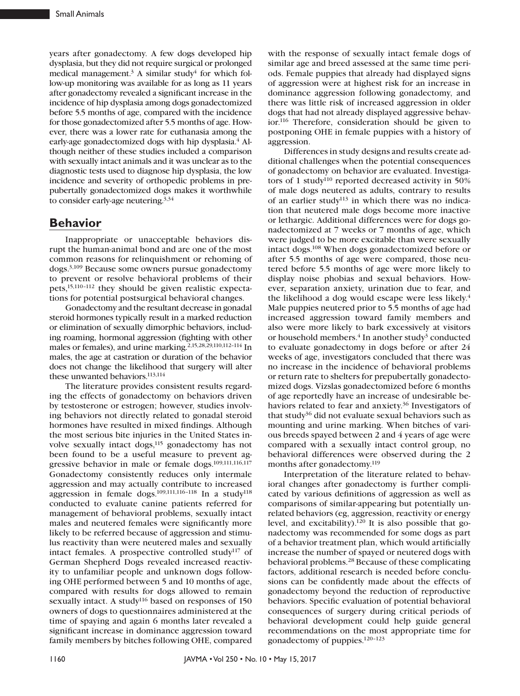years after gonadectomy. A few dogs developed hip dysplasia, but they did not require surgical or prolonged medical management.<sup>3</sup> A similar study<sup>4</sup> for which follow-up monitoring was available for as long as 11 years after gonadectomy revealed a significant increase in the incidence of hip dysplasia among dogs gonadectomized before 5.5 months of age, compared with the incidence for those gonadectomized after 5.5 months of age. However, there was a lower rate for euthanasia among the early-age gonadectomized dogs with hip dysplasia.<sup>4</sup> Although neither of these studies included a comparison with sexually intact animals and it was unclear as to the diagnostic tests used to diagnose hip dysplasia, the low incidence and severity of orthopedic problems in prepubertally gonadectomized dogs makes it worthwhile to consider early-age neutering.3,34

# **Behavior**

Inappropriate or unacceptable behaviors disrupt the human-animal bond and are one of the most common reasons for relinquishment or rehoming of dogs.3,109 Because some owners pursue gonadectomy to prevent or resolve behavioral problems of their pets,15,110–112 they should be given realistic expectations for potential postsurgical behavioral changes.

Gonadectomy and the resultant decrease in gonadal steroid hormones typically result in a marked reduction or elimination of sexually dimorphic behaviors, including roaming, hormonal aggression (fighting with other males or females), and urine marking.2,15,28,29,110,112–114 In males, the age at castration or duration of the behavior does not change the likelihood that surgery will alter these unwanted behaviors.<sup>113,114</sup>

The literature provides consistent results regarding the effects of gonadectomy on behaviors driven by testosterone or estrogen; however, studies involving behaviors not directly related to gonadal steroid hormones have resulted in mixed findings. Although the most serious bite injuries in the United States involve sexually intact dogs,<sup>115</sup> gonadectomy has not been found to be a useful measure to prevent aggressive behavior in male or female dogs.109,111,116,117 Gonadectomy consistently reduces only intermale aggression and may actually contribute to increased aggression in female dogs.<sup>109,111,116-118</sup> In a study<sup>118</sup> conducted to evaluate canine patients referred for management of behavioral problems, sexually intact males and neutered females were significantly more likely to be referred because of aggression and stimulus reactivity than were neutered males and sexually intact females. A prospective controlled study<sup>117</sup> of German Shepherd Dogs revealed increased reactivity to unfamiliar people and unknown dogs following OHE performed between 5 and 10 months of age, compared with results for dogs allowed to remain sexually intact. A study<sup>116</sup> based on responses of 150 owners of dogs to questionnaires administered at the time of spaying and again 6 months later revealed a significant increase in dominance aggression toward family members by bitches following OHE, compared

with the response of sexually intact female dogs of similar age and breed assessed at the same time periods. Female puppies that already had displayed signs of aggression were at highest risk for an increase in dominance aggression following gonadectomy, and there was little risk of increased aggression in older dogs that had not already displayed aggressive behavior.116 Therefore, consideration should be given to postponing OHE in female puppies with a history of aggression.

Differences in study designs and results create additional challenges when the potential consequences of gonadectomy on behavior are evaluated. Investigators of 1 study110 reported decreased activity in 50% of male dogs neutered as adults, contrary to results of an earlier study<sup>113</sup> in which there was no indication that neutered male dogs become more inactive or lethargic. Additional differences were for dogs gonadectomized at 7 weeks or 7 months of age, which were judged to be more excitable than were sexually intact dogs.108 When dogs gonadectomized before or after 5.5 months of age were compared, those neutered before 5.5 months of age were more likely to display noise phobias and sexual behaviors. However, separation anxiety, urination due to fear, and the likelihood a dog would escape were less likely.<sup>4</sup> Male puppies neutered prior to 5.5 months of age had increased aggression toward family members and also were more likely to bark excessively at visitors or household members. $4$  In another study $3$  conducted to evaluate gonadectomy in dogs before or after 24 weeks of age, investigators concluded that there was no increase in the incidence of behavioral problems or return rate to shelters for prepubertally gonadectomized dogs. Vizslas gonadectomized before 6 months of age reportedly have an increase of undesirable behaviors related to fear and anxiety.<sup>36</sup> Investigators of that study36 did not evaluate sexual behaviors such as mounting and urine marking. When bitches of various breeds spayed between 2 and 4 years of age were compared with a sexually intact control group, no behavioral differences were observed during the 2 months after gonadectomy.<sup>119</sup>

Interpretation of the literature related to behavioral changes after gonadectomy is further complicated by various definitions of aggression as well as comparisons of similar-appearing but potentially unrelated behaviors (eg, aggression, reactivity or energy level, and excitability).120 It is also possible that gonadectomy was recommended for some dogs as part of a behavior treatment plan, which would artificially increase the number of spayed or neutered dogs with behavioral problems.28 Because of these complicating factors, additional research is needed before conclusions can be confidently made about the effects of gonadectomy beyond the reduction of reproductive behaviors. Specific evaluation of potential behavioral consequences of surgery during critical periods of behavioral development could help guide general recommendations on the most appropriate time for gonadectomy of puppies.120–123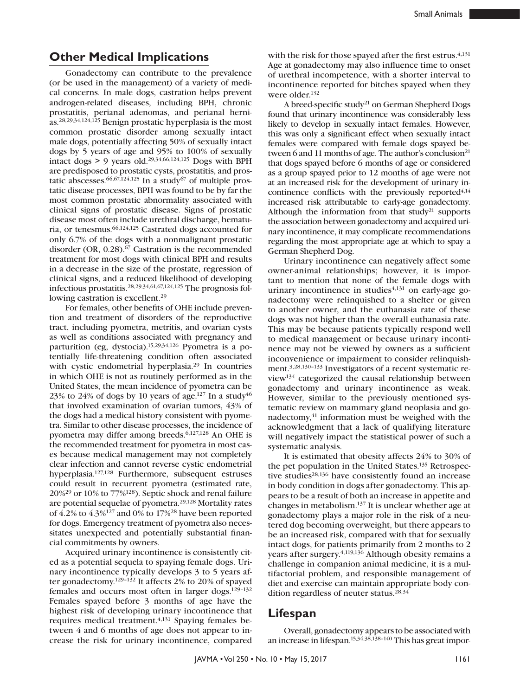# **Other Medical Implications**

Gonadectomy can contribute to the prevalence (or be used in the management) of a variety of medical concerns. In male dogs, castration helps prevent androgen-related diseases, including BPH, chronic prostatitis, perianal adenomas, and perianal hernias.28,29,34,124,125 Benign prostatic hyperplasia is the most common prostatic disorder among sexually intact male dogs, potentially affecting 50% of sexually intact dogs by 5 years of age and 95% to 100% of sexually intact dogs  $> 9$  years old.<sup>29,34,66,124,125</sup> Dogs with BPH are predisposed to prostatic cysts, prostatitis, and prostatic abscesses.  $66,67,124,125$  In a study<sup>67</sup> of multiple prostatic disease processes, BPH was found to be by far the most common prostatic abnormality associated with clinical signs of prostatic disease. Signs of prostatic disease most often include urethral discharge, hematuria, or tenesmus.66,124,125 Castrated dogs accounted for only 6.7% of the dogs with a nonmalignant prostatic disorder (OR,  $0.28$ ).<sup>67</sup> Castration is the recommended treatment for most dogs with clinical BPH and results in a decrease in the size of the prostate, regression of clinical signs, and a reduced likelihood of developing infectious prostatitis.28,29,34,61,67,124,125 The prognosis following castration is excellent.<sup>29</sup>

For females, other benefits of OHE include prevention and treatment of disorders of the reproductive tract, including pyometra, metritis, and ovarian cysts as well as conditions associated with pregnancy and parturition (eg, dystocia).15,29,34,126 Pyometra is a potentially life-threatening condition often associated with cystic endometrial hyperplasia.<sup>29</sup> In countries in which OHE is not as routinely performed as in the United States, the mean incidence of pyometra can be 23% to 24% of dogs by 10 years of age.<sup>127</sup> In a study<sup>46</sup> that involved examination of ovarian tumors, 43% of the dogs had a medical history consistent with pyometra. Similar to other disease processes, the incidence of pyometra may differ among breeds.6,127,128 An OHE is the recommended treatment for pyometra in most cases because medical management may not completely clear infection and cannot reverse cystic endometrial hyperplasia.127,128 Furthermore, subsequent estruses could result in recurrent pyometra (estimated rate, 20%29 or 10% to 77%128). Septic shock and renal failure are potential sequelae of pyometra.29,128 Mortality rates of  $4.2\%$  to  $4.3\%$ <sup>127</sup> and 0% to 17%<sup>28</sup> have been reported for dogs. Emergency treatment of pyometra also necessitates unexpected and potentially substantial financial commitments by owners.

Acquired urinary incontinence is consistently cited as a potential sequela to spaying female dogs. Urinary incontinence typically develops 3 to 5 years after gonadectomy.129–132 It affects 2% to 20% of spayed females and occurs most often in larger dogs.129–132 Females spayed before 3 months of age have the highest risk of developing urinary incontinence that requires medical treatment.4,131 Spaying females between 4 and 6 months of age does not appear to increase the risk for urinary incontinence, compared

with the risk for those spayed after the first estrus. $4,131$ Age at gonadectomy may also influence time to onset of urethral incompetence, with a shorter interval to incontinence reported for bitches spayed when they were older.<sup>132</sup>

A breed-specific study<sup>21</sup> on German Shepherd Dogs found that urinary incontinence was considerably less likely to develop in sexually intact females. However, this was only a significant effect when sexually intact females were compared with female dogs spayed between 6 and 11 months of age. The author's conclusion $21$ that dogs spayed before 6 months of age or considered as a group spayed prior to 12 months of age were not at an increased risk for the development of urinary incontinence conflicts with the previously reported $4,14$ increased risk attributable to early-age gonadectomy. Although the information from that study<sup>21</sup> supports the association between gonadectomy and acquired urinary incontinence, it may complicate recommendations regarding the most appropriate age at which to spay a German Shepherd Dog.

Urinary incontinence can negatively affect some owner-animal relationships; however, it is important to mention that none of the female dogs with urinary incontinence in studies $4,131$  on early-age gonadectomy were relinquished to a shelter or given to another owner, and the euthanasia rate of these dogs was not higher than the overall euthanasia rate. This may be because patients typically respond well to medical management or because urinary incontinence may not be viewed by owners as a sufficient inconvenience or impairment to consider relinquishment.3,28,130–133 Investigators of a recent systematic review<sup>134</sup> categorized the causal relationship between gonadectomy and urinary incontinence as weak. However, similar to the previously mentioned systematic review on mammary gland neoplasia and gonadectomy, $41$  information must be weighed with the acknowledgment that a lack of qualifying literature will negatively impact the statistical power of such a systematic analysis.

It is estimated that obesity affects 24% to 30% of the pet population in the United States.<sup>135</sup> Retrospective studies<sup>28,136</sup> have consistently found an increase in body condition in dogs after gonadectomy. This appears to be a result of both an increase in appetite and changes in metabolism.137 It is unclear whether age at gonadectomy plays a major role in the risk of a neutered dog becoming overweight, but there appears to be an increased risk, compared with that for sexually intact dogs, for patients primarily from 2 months to 2 years after surgery.4,119,136 Although obesity remains a challenge in companion animal medicine, it is a multifactorial problem, and responsible management of diet and exercise can maintain appropriate body condition regardless of neuter status.<sup>28,34</sup>

#### **Lifespan**

Overall, gonadectomy appears to be associated with an increase in lifespan.15,34,38,138–140 This has great impor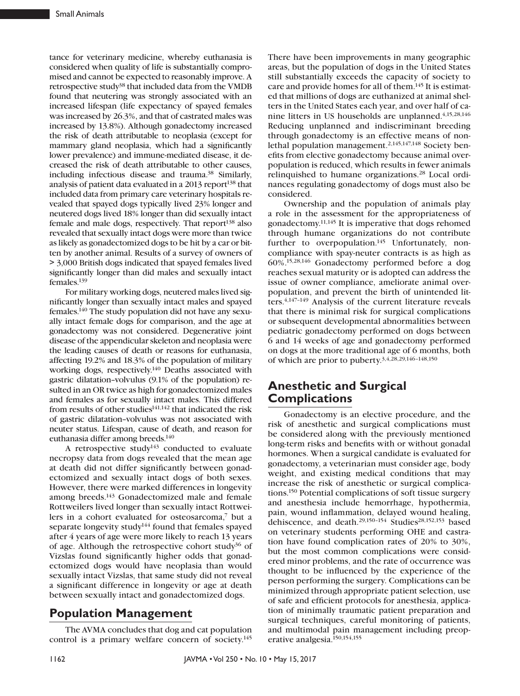tance for veterinary medicine, whereby euthanasia is considered when quality of life is substantially compromised and cannot be expected to reasonably improve. A retrospective study<sup>38</sup> that included data from the VMDB found that neutering was strongly associated with an increased lifespan (life expectancy of spayed females was increased by 26.3%, and that of castrated males was increased by 13.8%). Although gonadectomy increased the risk of death attributable to neoplasia (except for mammary gland neoplasia, which had a significantly lower prevalence) and immune-mediated disease, it decreased the risk of death attributable to other causes, including infectious disease and trauma.38 Similarly, analysis of patient data evaluated in a  $2013$  report<sup>138</sup> that included data from primary care veterinary hospitals revealed that spayed dogs typically lived 23% longer and neutered dogs lived 18% longer than did sexually intact female and male dogs, respectively. That  $report<sup>138</sup>$  also revealed that sexually intact dogs were more than twice as likely as gonadectomized dogs to be hit by a car or bitten by another animal. Results of a survey of owners of > 3,000 British dogs indicated that spayed females lived significantly longer than did males and sexually intact females.139

For military working dogs, neutered males lived significantly longer than sexually intact males and spayed females.140 The study population did not have any sexually intact female dogs for comparison, and the age at gonadectomy was not considered. Degenerative joint disease of the appendicular skeleton and neoplasia were the leading causes of death or reasons for euthanasia, affecting 19.2% and 18.3% of the population of military working dogs, respectively.<sup>140</sup> Deaths associated with gastric dilatation–volvulus (9.1% of the population) resulted in an OR twice as high for gonadectomized males and females as for sexually intact males. This differed from results of other studies<sup>141,142</sup> that indicated the risk of gastric dilatation–volvulus was not associated with neuter status. Lifespan, cause of death, and reason for euthanasia differ among breeds.140

A retrospective study $143$  conducted to evaluate necropsy data from dogs revealed that the mean age at death did not differ significantly between gonadectomized and sexually intact dogs of both sexes. However, there were marked differences in longevity among breeds.143 Gonadectomized male and female Rottweilers lived longer than sexually intact Rottweilers in a cohort evaluated for osteosarcoma,7 but a separate longevity study<sup>144</sup> found that females spayed after 4 years of age were more likely to reach 13 years of age. Although the retrospective cohort study<sup>36</sup> of Vizslas found significantly higher odds that gonadectomized dogs would have neoplasia than would sexually intact Vizslas, that same study did not reveal a significant difference in longevity or age at death between sexually intact and gonadectomized dogs.

# **Population Management**

The AVMA concludes that dog and cat population control is a primary welfare concern of society.<sup>145</sup> There have been improvements in many geographic areas, but the population of dogs in the United States still substantially exceeds the capacity of society to care and provide homes for all of them.145 It is estimated that millions of dogs are euthanized at animal shelters in the United States each year, and over half of canine litters in US households are unplanned.4,15,28,146 Reducing unplanned and indiscriminant breeding through gonadectomy is an effective means of nonlethal population management.<sup>2,145,147,148</sup> Society benefits from elective gonadectomy because animal overpopulation is reduced, which results in fewer animals relinquished to humane organizations.28 Local ordinances regulating gonadectomy of dogs must also be considered.

Ownership and the population of animals play a role in the assessment for the appropriateness of gonadectomy.11,145 It is imperative that dogs rehomed through humane organizations do not contribute further to overpopulation. $145$  Unfortunately, noncompliance with spay-neuter contracts is as high as 60%.15,28,146 Gonadectomy performed before a dog reaches sexual maturity or is adopted can address the issue of owner compliance, ameliorate animal overpopulation, and prevent the birth of unintended litters.4,147–149 Analysis of the current literature reveals that there is minimal risk for surgical complications or subsequent developmental abnormalities between pediatric gonadectomy performed on dogs between 6 and 14 weeks of age and gonadectomy performed on dogs at the more traditional age of 6 months, both of which are prior to puberty.3,4,28,29,146–148,150

# **Anesthetic and Surgical Complications**

Gonadectomy is an elective procedure, and the risk of anesthetic and surgical complications must be considered along with the previously mentioned long-term risks and benefits with or without gonadal hormones. When a surgical candidate is evaluated for gonadectomy, a veterinarian must consider age, body weight, and existing medical conditions that may increase the risk of anesthetic or surgical complications.150 Potential complications of soft tissue surgery and anesthesia include hemorrhage, hypothermia, pain, wound inflammation, delayed wound healing, dehiscence, and death.<sup>29,150-154</sup> Studies<sup>28,152,153</sup> based on veterinary students performing OHE and castration have found complication rates of 20% to 30%, but the most common complications were considered minor problems, and the rate of occurrence was thought to be influenced by the experience of the person performing the surgery. Complications can be minimized through appropriate patient selection, use of safe and efficient protocols for anesthesia, application of minimally traumatic patient preparation and surgical techniques, careful monitoring of patients, and multimodal pain management including preoperative analgesia.150,154,155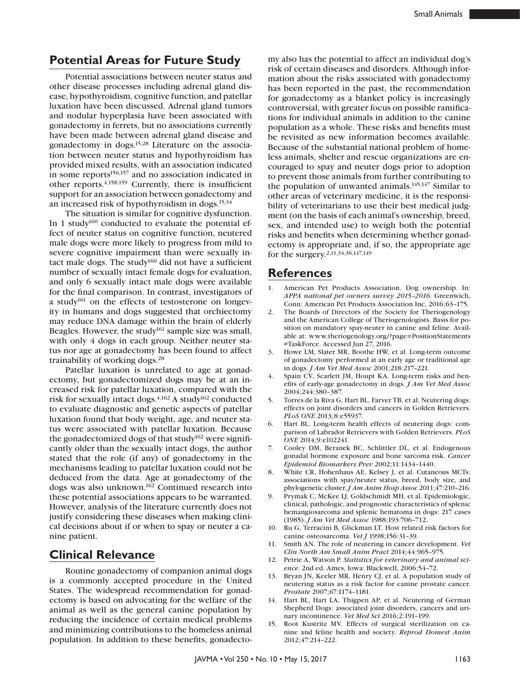# **Potential Areas for Future Study**

Potential associations between neuter status and other disease processes including adrenal gland disease, hypothyroidism, cognitive function, and patellar luxation have been discussed. Adrenal gland tumors and nodular hyperplasia have been associated with gonadectomy in ferrets, but no associations currently have been made between adrenal gland disease and gonadectomy in dogs.15,28 Literature on the association between neuter status and hypothyroidism has provided mixed results, with an association indicated in some reports<sup>156,157</sup> and no association indicated in other reports.4,158,159 Currently, there is insufficient support for an association between gonadectomy and an increased risk of hypothyroidism in dogs.15,34

The situation is similar for cognitive dysfunction. In 1 study $160$  conducted to evaluate the potential effect of neuter status on cognitive function, neutered male dogs were more likely to progress from mild to severe cognitive impairment than were sexually intact male dogs. The study<sup>160</sup> did not have a sufficient number of sexually intact female dogs for evaluation, and only 6 sexually intact male dogs were available for the final comparison. In contrast, investigators of a study<sup>161</sup> on the effects of testosterone on longevity in humans and dogs suggested that orchiectomy may reduce DNA damage within the brain of elderly Beagles. However, the study<sup>161</sup> sample size was small, with only 4 dogs in each group. Neither neuter status nor age at gonadectomy has been found to affect trainability of working dogs.28

Patellar luxation is unrelated to age at gonadectomy, but gonadectomized dogs may be at an increased risk for patellar luxation, compared with the risk for sexually intact dogs.4,162 A study162 conducted to evaluate diagnostic and genetic aspects of patellar luxation found that body weight, age, and neuter status were associated with patellar luxation. Because the gonadectomized dogs of that study<sup>162</sup> were significantly older than the sexually intact dogs, the author stated that the role (if any) of gonadectomy in the mechanisms leading to patellar luxation could not be deduced from the data. Age at gonadectomy of the dogs was also unknown.162 Continued research into these potential associations appears to be warranted. However, analysis of the literature currently does not justify considering these diseases when making clinical decisions about if or when to spay or neuter a canine patient.

#### **Clinical Relevance**

Routine gonadectomy of companion animal dogs is a commonly accepted procedure in the United States. The widespread recommendation for gonadectomy is based on advocating for the welfare of the animal as well as the general canine population by reducing the incidence of certain medical problems and minimizing contributions to the homeless animal population. In addition to these benefits, gonadecto-

my also has the potential to affect an individual dog's risk of certain diseases and disorders. Although information about the risks associated with gonadectomy has been reported in the past, the recommendation for gonadectomy as a blanket policy is increasingly controversial, with greater focus on possible ramifications for individual animals in addition to the canine population as a whole. These risks and benefits must be revisited as new information becomes available. Because of the substantial national problem of homeless animals, shelter and rescue organizations are encouraged to spay and neuter dogs prior to adoption to prevent those animals from further contributing to the population of unwanted animals.<sup>145,147</sup> Similar to other areas of veterinary medicine, it is the responsibility of veterinarians to use their best medical judgment (on the basis of each animal's ownership, breed, sex, and intended use) to weigh both the potential risks and benefits when determining whether gonadectomy is appropriate and, if so, the appropriate age for the surgery.2,11,34,36,147,149

#### **References**

- 1. American Pet Products Association. Dog ownership. In: *APPA national pet owners survey 2015–2016*. Greenwich, Conn: American Pet Products Association Inc, 2016;63–175.
- 2. The Boards of Directors of the Society for Theriogenology and the American College of Theriogenologists. Basis for position on mandatory spay-neuter in canine and feline. Available at: www.theriogenology.org/?page=PositionStatements #TaskForce. Accessed Jun 27, 2016.
- 3. Howe LM, Slater MR, Boothe HW, et al. Long-term outcome of gonadectomy performed at an early age or traditional age in dogs. *J Am Vet Med Assoc* 2001;218:217–221.
- 4. Spain CV, Scarlett JM, Houpt KA. Long-term risks and benefits of early-age gonadectomy in dogs. *J Am Vet Med Assoc* 2004;244:380–387.
- 5. Torres de la Riva G, Hart BL, Farver TB, et al. Neutering dogs: effects on joint disorders and cancers in Golden Retrievers. *PLoS ONE* 2013;8:e55937.
- Hart BL. Long-term health effects of neutering dogs: comparison of Labrador Retrievers with Golden Retrievers. *PLoS ONE* 2014;9:e102241.
- 7. Cooley DM, Beranek BC, Schlittler DL, et al. Endogenous gonadal hormone exposure and bone sarcoma risk. *Cancer Epidemiol Biomarkers Prev* 2002;11:1434–1440.
- 8. White CR, Hohenhaus AE, Kelsey J, et al. Cutaneous MCTs: associations with spay/neuter status, breed, body size, and phylogenetic cluster. *J Am Anim Hosp Assoc* 2011;47:210–216.
- 9. Prymak C, McKee LJ, Goldschmidt MH, et al. Epidemiologic, clinical, pathologic, and prognostic characteristics of splenic hemangiosarcoma and splenic hematoma in dogs: 217 cases (1985). *J Am Vet Med Assoc* 1988;193:706–712.
- 10. Ru G, Terracini B, Glickman LT. Host related risk factors for canine osteosarcoma. *Vet J* 1998;156:31–39.
- 11. Smith AN. The role of neutering in cancer development. *Vet Clin North Am Small Anim Pract* 2014;44:965–975.
- 12. Petrie A, Watson P. *Statistics for veterinary and animal science*. 2nd ed. Ames, Iowa: Blackwell, 2006;54–72.
- 13. Bryan JN, Keeler MR, Henry CJ, et al. A population study of neutering status as a risk factor for canine prostate cancer. *Prostate* 2007;67:1174–1181.
- 14. Hart BL, Hart LA, Thigpen AP, et al. Neutering of German Shepherd Dogs: associated joint disorders, cancers and urinary incontinence. *Vet Med Sci* 2016;2:191–199.
- 15. Root Kustritz MV. Effects of surgical sterilization on canine and feline health and society. *Reprod Domest Anim* 2012;47:214–222.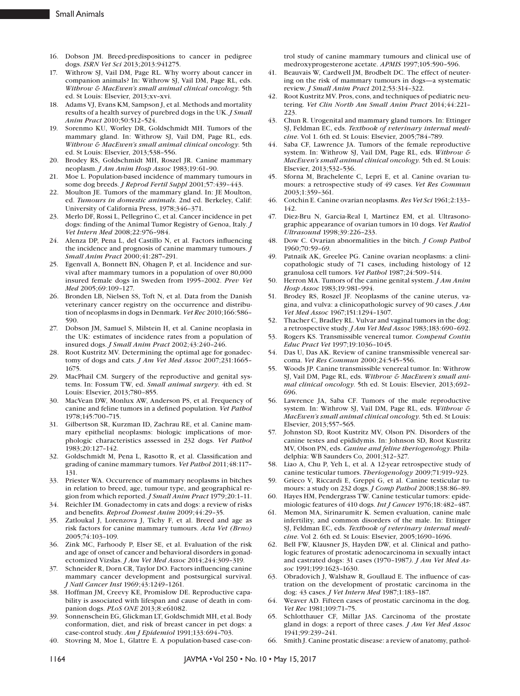- 16. Dobson JM. Breed-predispositions to cancer in pedigree dogs. *ISRN Vet Sci* 2013;2013:941275.
- 17. Withrow SJ, Vail DM, Page RL. Why worry about cancer in companion animals? In: Withrow SJ, Vail DM, Page RL, eds. *Withrow & MacEwen's small animal clinical oncology*. 5th ed. St Louis: Elsevier, 2013;xv–xvi.
- 18. Adams VJ, Evans KM, Sampson J, et al. Methods and mortality results of a health survey of purebred dogs in the UK. *J Small Anim Pract* 2010;50:512–524.
- 19. Sorenmo KU, Worley DR, Goldschmidt MH. Tumors of the mammary gland. In: Withrow SJ, Vail DM, Page RL, eds. *Withrow & MacEwen's small animal clinical oncology*. 5th ed. St Louis: Elsevier, 2013;538–556.
- 20. Brodey RS, Goldschmidt MH, Roszel JR. Canine mammary neoplasm. *J Am Anim Hosp Assoc* 1983;19:61–90.
- 21. Moe L. Population-based incidence of mammary tumours in some dog breeds. *J Reprod Fertil Suppl* 2001;57:439–443.
- 22. Moulton JE. Tumors of the mammary gland. In: JE Moulton, ed. *Tumours in domestic animals*. 2nd ed. Berkeley, Calif: University of California Press, 1978;346–371.
- 23. Merlo DF, Rossi L, Pellegrino C, et al. Cancer incidence in pet dogs: finding of the Animal Tumor Registry of Genoa, Italy. *J Vet Intern Med* 2008;22:976–984.
- 24. Alenza DP, Pena L, del Castillo N, et al. Factors influencing the incidence and prognosis of canine mammary tumours. *J Small Anim Pract* 2000;41:287–291.
- 25. Egenvall A, Bonnett BN, Ohagen P, et al. Incidence and survival after mammary tumors in a population of over 80,000 insured female dogs in Sweden from 1995–2002. *Prev Vet Med* 2005;69:109–127.
- 26. Bronden LB, Nielsen SS, Toft N, et al. Data from the Danish veterinary cancer registry on the occurrence and distribution of neoplasms in dogs in Denmark. *Vet Rec* 2010;166:586– 590.
- 27. Dobson JM, Samuel S, Milstein H, et al. Canine neoplasia in the UK: estimates of incidence rates from a population of insured dogs. *J Small Anim Pract* 2002;43:240–246.
- 28. Root Kustritz MV. Determining the optimal age for gonadectomy of dogs and cats. *J Am Vet Med Assoc* 2007;231:1665– 1675.
- 29. MacPhail CM. Surgery of the reproductive and genital systems. In: Fossum TW, ed. *Small animal surgery*. 4th ed. St Louis: Elsevier, 2013;780–855.
- 30. MacVean DW, Monlux AW, Anderson PS, et al. Frequency of canine and feline tumors in a defined population. *Vet Pathol* 1978;145:700–715.
- 31. Gilbertson SR, Kurzman ID, Zachrau RE, et al. Canine mammary epithelial neoplasms: biologic implications of morphologic characteristics assessed in 232 dogs. *Vet Pathol* 1983;20:127–142.
- 32. Goldschmidt M, Pena L, Rasotto R, et al. Classification and grading of canine mammary tumors. *Vet Pathol* 2011;48:117– 131.
- 33. Priester WA. Occurrence of mammary neoplasms in bitches in relation to breed, age, tumour type, and geographical region from which reported. *J Small Anim Pract* 1979;20:1–11.
- 34. Reichler IM. Gonadectomy in cats and dogs: a review of risks and benefits. *Reprod Domest Anim* 2009;44:29–35.
- 35. Zatloukal J, Lorenzova J, Tichy F, et al. Breed and age as risk factors for canine mammary tumours. *Acta Vet (Brno)* 2005;74:103–109.
- 36. Zink MC, Farhoody P, Elser SE, et al. Evaluation of the risk and age of onset of cancer and behavioral disorders in gonadectomized Vizslas. *J Am Vet Med Assoc* 2014;244:309–319.
- 37. Schneider R, Dorn CR, Taylor DO. Factors influencing canine mammary cancer development and postsurgical survival. *J Natl Cancer Inst* 1969;43:1249–1261.
- 38. Hoffman JM, Creevy KE, Promislow DE. Reproductive capability is associated with lifespan and cause of death in companion dogs. *PLoS ONE* 2013;8:e61082.
- 39. Sonnenschein EG, Glickman LT, Goldschmidt MH, et al. Body conformation, diet, and risk of breast cancer in pet dogs: a case-control study. *Am J Epidemiol* 1991;133:694–703.
- 40. Stovring M, Moe L, Glattre E. A population-based case-con-

trol study of canine mammary tumours and clinical use of medroxyprogesterone acetate. *APMIS* 1997;105:590–596.

- 41. Beauvais W, Cardwell JM, Brodbelt DC. The effect of neutering on the risk of mammary tumours in dogs—a systematic review. *J Small Anim Pract* 2012;53:314–322.
- 42. Root Kustritz MV. Pros, cons, and techniques of pediatric neutering. *Vet Clin North Am Small Anim Pract* 2014;44:221– 223.
- 43. Chun R. Urogenital and mammary gland tumors. In: Ettinger SJ, Feldman EC, eds. *Textbook of veterinary internal medicine*. Vol 1. 6th ed. St Louis: Elsevier, 2005;784–789.
- 44. Saba CF, Lawrence JA. Tumors of the female reproductive system. In: Withrow SJ, Vail DM, Page RL, eds. *Withrow & MacEwen's small animal clinical oncology*. 5th ed. St Louis: Elsevier, 2013;532–536.
- 45. Sforna M, Brachelente C, Lepri E, et al. Canine ovarian tumours: a retrospective study of 49 cases. *Vet Res Commun* 2003;1:359–361.
- 46. Cotchin E. Canine ovarian neoplasms. *Res Vet Sci* 1961;2:133– 142.
- 47. Diez-Bru N, Garcia-Real I, Martinez EM, et al. Ultrasonographic appearance of ovarian tumors in 10 dogs. *Vet Radiol Ultrasound* 1998;39:226–233.
- 48. Dow C. Ovarian abnormalities in the bitch. *J Comp Pathol* 1960;70:59–69.
- 49. Patnaik AK, Greelee PG. Canine ovarian neoplasms: a clinicopathologic study of 71 cases, including histology of 12 granulosa cell tumors. *Vet Pathol* 1987;24:509–514.
- 50. Herron MA. Tumors of the canine genital system. *J Am Anim Hosp Assoc* 1983;19:981–994.
- 51. Brodey RS, Roszel JF. Neoplasms of the canine uterus, vagina, and vulva: a clinicopathologic survey of 90 cases. *J Am Vet Med Assoc* 1967;151:1294–1307.
- 52. Thacher C, Bradley RL. Vulvar and vaginal tumors in the dog: a retrospective study. *J Am Vet Med Assoc* 1983;183:690–692.
- 53. Rogers KS. Transmissible venereal tumor. *Compend Contin Educ Pract Vet* 1997;19:1036–1045.
- 54. Das U, Das AK. Review of canine transmissible venereal sarcoma. *Vet Res Commun* 2000;24:545–556.
- 55. Woods JP. Canine transmissible venereal tumor. In: Withrow SJ, Vail DM, Page RL, eds. *Withrow & MacEwen's small animal clinical oncology*. 5th ed. St Louis: Elsevier, 2013;692– 696.
- 56. Lawrence JA, Saba CF. Tumors of the male reproductive system. In: Withrow SJ, Vail DM, Page RL, eds. *Withrow & MacEwen's small animal clinical oncology*. 5th ed. St Louis: Elsevier, 2013;557–565.
- 57. Johnston SD, Root Kustritz MV, Olson PN. Disorders of the canine testes and epididymis. In: Johnson SD, Root Kustritz MV, Olson PN, eds. *Canine and feline theriogenology*. Philadelphia: WB Saunders Co, 2001;312–327.
- 58. Liao A, Chu P, Yeh L, et al. A 12-year retrospective study of canine testicular tumors. *Theriogenology* 2009;71:919–923.
- 59. Grieco V, Riccardi E, Greppi G, et al. Canine testicular tumours: a study on 232 dogs. *J Comp Pathol* 2008;138:86–89.
- Hayes HM, Pendergrass TW. Canine testicular tumors: epidemiologic features of 410 dogs. *Int J Cancer* 1976;18:482–487.
- Memon MA, Sirinarumitr K. Semen evaluation, canine male infertility, and common disorders of the male. In: Ettinger SJ, Feldman EC, eds. *Textbook of veterinary internal medicine*. Vol 2. 6th ed. St Louis: Elsevier, 2005;1690–1696.
- 62. Bell FW, Klausner JS, Hayden DW, et al. Clinical and pathologic features of prostatic adenocarcinoma in sexually intact and castrated dogs: 31 cases (1970–1987*). J Am Vet Med Assoc* 1991;199:1623–1630.
- 63. Obradovich J, Walshaw R, Goullaud E. The influence of castration on the development of prostatic carcinoma in the dog: 43 cases. *J Vet Intern Med* 1987;1:183–187.
- 64. Weaver AD. Fifteen cases of prostatic carcinoma in the dog. *Vet Rec* 1981;109:71–75.
- 65. Schlotthauer CF, Millar JAS. Carcinoma of the prostate gland in dogs: a report of three cases. *J Am Vet Med Assoc* 1941;99:239–241.
- 66. Smith J. Canine prostatic disease: a review of anatomy, pathol-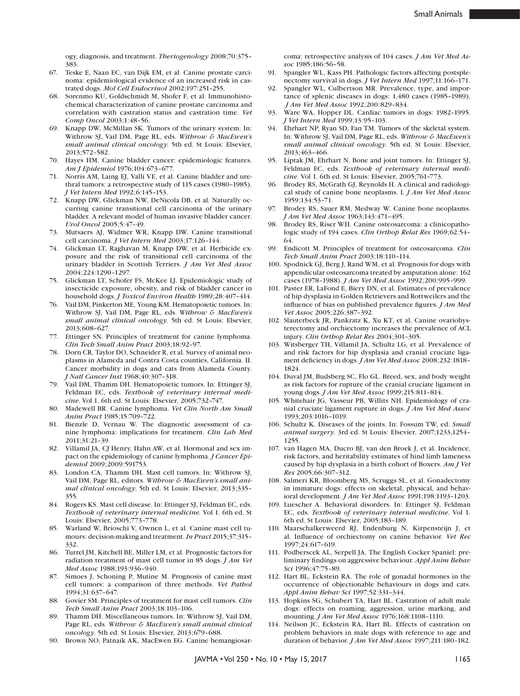ogy, diagnosis, and treatment. *Theriogenology* 2008;70:375– 383.

- 67. Teske E, Naan EC, van Dijk EM, et al. Canine prostate carcinoma: epidemiological evidence of an increased risk in castrated dogs. *Mol Cell Endocrinol* 2002;197:251–255.
- 68. Sorenmo KU, Goldschmidt M, Shofer F, et al. Immunohistochemical characterization of canine prostate carcinoma and correlation with castration status and castration time. *Vet Comp Oncol* 2003;1:48–56.
- 69. Knapp DW, McMillan SK. Tumors of the urinary system. In: Withrow SJ, Vail DM, Page RL, eds. *Withrow & MacEwen's small animal clinical oncology*. 5th ed. St Louis: Elsevier, 2013;572–582.
- 70. Hayes HM. Canine bladder cancer: epidemiologic features. *Am J Epidemiol* 1976;104:673–677.
- 71. Norris AM, Laing EJ, Valli VE, et al. Canine bladder and urethral tumors: a retrospective study of 115 cases (1980–1985). *J Vet Intern Med* 1992;6:145–153.
- 72. Knapp DW, Glickman NW, DeNicola DB, et al. Naturally occurring canine transitional cell carcinoma of the urinary bladder. A relevant model of human invasive bladder cancer. *Urol Oncol* 2005;5:47–49.
- 73. Mutsaers AJ, Widmer WR, Knapp DW. Canine transitional cell carcinoma. *J Vet Intern Med* 2003;17:126–144.
- 74. Glickman LT, Raghavan M, Knapp DW, et al. Herbicide exposure and the risk of transitional cell carcinoma of the urinary bladder in Scottish Terriers. *J Am Vet Med Assoc* 2004;224:1290–1297.
- 75. Glickman LT, Schofer FS, McKee LJ. Epidemiologic study of insecticide exposure, obesity, and risk of bladder cancer in household dogs. *J Toxicol Environ Health* 1989;28:407–414.
- 76. Vail DM, Pinkerton ME, Young KM. Hematopoietic tumors. In: Withrow SJ, Vail DM, Page RL, eds. *Withrow & MacEwen's small animal clinical oncology*. 5th ed. St Louis: Elsevier, 2013;608–627.
- 77. Ettinger SN. Principles of treatment for canine lymphoma. *Clin Tech Small Anim Pract* 2003;18:92–97.
- 78. Dorn CR, Taylor DO, Schneider R, et al. Survey of animal neoplasms in Alameda and Contra Costa counties, California. II. Cancer morbidity in dogs and cats from Alameda County. *J Natl Cancer Inst* 1968;40:307–318.
- 79. Vail DM, Thamm DH. Hematopoietic tumors. In: Ettinger SJ, Feldman EC, eds. *Textbook of veterinary internal medicine*. Vol 1. 6th ed. St Louis: Elsevier, 2005;732–747.
- 80. Madewell BR. Canine lymphoma. *Vet Clin North Am Small Anim Pract* 1985;15:709–722.
- 81. Bienzle D, Vernau W. The diagnostic assessment of canine lymphoma: implications for treatment. *Clin Lab Med* 2011;31:21–39.
- 82. Villamil JA, CJ Henry, Hahn AW, et al. Hormonal and sex impact on the epidemiology of canine lymphoma. *J Cancer Epidemiol* 2009;2009:591753.
- 83. London CA, Thamm DH. Mast cell tumors. In: Withrow SJ, Vail DM, Page RL, editors. *Withrow & MacEwen's small animal clinical oncology*. 5th ed. St Louis: Elsevier, 2013;335– 355.
- 84. Rogers KS. Mast cell disease. In: Ettinger SJ, Feldman EC, eds. *Textbook of veterinary internal medicine*. Vol 1. 6th ed. St Louis: Elsevier, 2005;773–778.
- 85. Warland W, Brioschi V, Ownen L, et al. Canine mast cell tumours: decision-making and treatment. *In Pract* 2015;37:315– 332.
- 86. Turrel JM, Kitchell BE, Miller LM, et al. Prognostic factors for radiation treatment of mast cell tumor in 85 dogs. *J Am Vet Med Assoc* 1988;193:936–940.
- 87. Simoes J, Schoning P, Mutine M. Prognosis of canine mast cell tumors: a comparison of three methods. *Vet Pathol* 1994;31:637–647.
- 88. Govier SM. Principles of treatment for mast cell tumors. *Clin Tech Small Anim Pract* 2003;18:103–106.
- 89. Thamm DH. Miscellaneous tumors. In: Withrow SJ, Vail DM, Page RL, eds. *Withrow & MacEwen's small animal clinical oncology*. 5th ed. St Louis: Elsevier, 2013;679–688.
- 90. Brown NO, Patnaik AK, MacEwen EG. Canine hemangiosar-

coma: retrospective analysis of 104 cases. *J Am Vet Med Assoc* 1985;186:56–58.

- 91. Spangler WL, Kass PH. Pathologic factors affecting postsplenectomy survival in dogs. *J Vet Intern Med* 1997;11:166–171.
- 92. Spangler WL, Culbertson MR. Prevalence, type, and importance of splenic diseases in dogs: 1,480 cases (1985–1989). *J Am Vet Med Assoc* 1992;200:829–834.
- 93. Ware WA, Hopper DL. Cardiac tumors in dogs: 1982–1995. *J Vet Intern Med* 1999;13:95–103.
- 94. Ehrhart NP, Ryan SD, Fan TM. Tumors of the skeletal system. In: Withrow SJ, Vail DM, Page RL, eds. *Withrow & MacEwen's small animal clinical oncology*. 5th ed. St Louis: Elsevier, 2013;463–466.
- 95. Liptak JM, Ehrhart N. Bone and joint tumors. In: Ettinger SJ, Feldman EC, eds. *Textbook of veterinary internal medicine*. Vol 1. 6th ed. St Louis: Elsevier, 2005;761–773.
- 96. Brodey RS, McGrath GJ, Reynolds H. A clinical and radiological study of canine bone neoplasms. I. *J Am Vet Med Assoc* 1959;134:53–71.
- 97. Brodey RS, Sauer RM, Medway W. Canine bone neoplasms. *J Am Vet Med Assoc* 1963;143:471–495.
- 98. Brodey RS, Riser WH. Canine osteosarcoma: a clinicopathologic study of 194 cases. *Clin Orthop Relat Res* 1969;62:54– 64.
- 99. Endicott M. Principles of treatment for osteosarcoma. *Clin Tech Small Anim Pract* 2003;18:110–114.
- 100. Spodnick GJ, Berg J, Rand WM, et al. Prognosis for dogs with appendicular osteosarcoma treated by amputation alone: 162 cases (1978–1988). *J Am Vet Med Assoc* 1992;200:995–999.
- 101. Paster ER, LaFond E, Biery DN, et al. Estimates of prevalence of hip dysplasia in Golden Retrievers and Rottweilers and the influence of bias on published prevalence figures. *J Am Med Vet Assoc* 2005;226:387–392.
- 102. Slauterbeck JR, Pankratz K, Xu KT, et al. Canine ovariohysterectomy and orchiectomy increases the prevalence of ACL injury. *Clin Orthop Relat Res* 2004;301–305.
- 103. Witsberger TH, Villamil JA, Schultz LG, et al. Prevalence of and risk factors for hip dysplasia and cranial cruciate ligament deficiency in dogs. *J Am Vet Med Assoc* 2008;232:1818– 1824.
- 104. Duval JM, Budsberg SC, Flo GL. Breed, sex, and body weight as risk factors for rupture of the cranial cruciate ligament in young dogs. *J Am Vet Med Assoc* 1999;215:811–814.
- 105. Whitehair JG, Vasseur PB, Willits NH. Epidemiology of cranial cruciate ligament rupture in dogs. *J Am Vet Med Assoc* 1993;203:1016–1019.
- 106. Schultz K. Diseases of the joints. In: Fossum TW, ed. *Small animal surgery*. 3rd ed. St Louis: Elsevier, 2007;1233,1254– 1255.
- 107. van Hagen MA, Ducro BJ, van den Broek J, et al. Incidence, risk factors, and heritability estimates of hind limb lameness caused by hip dysplasia in a birth cohort of Boxers. *Am J Vet Res* 2005;66:307–312.
- 108. Salmeri KR, Bloomberg MS, Scruggs SL, et al. Gonadectomy in immature dogs: effects on skeletal, physical, and behavioral development. *J Am Vet Med Assoc* 1991;198:1193–1203.
- 109. Luescher A. Behavioral disorders. In: Ettinger SJ, Feldman EC, eds. *Textbook of veterinary internal medicine*. Vol 1. 6th ed. St Louis: Elsevier, 2005;183–189.
- 110. Maarschalkerweerd RJ, Endenburg N, Kirpensteijn J, et al. Influence of orchiectomy on canine behavior. *Vet Rec* 1997;24:617–619.
- 111. Podberscek AL, Serpell JA. The English Cocker Spaniel: preliminary findings on aggressive behaviour. *Appl Anim Behav Sci* 1996;47:75–89.
- 112. Hart BL, Eckstein RA. The role of gonadal hormones in the occurrence of objectionable behaviours in dogs and cats. *Appl Anim Behav Sci* 1997;52:331–344.
- 113. Hopkins SG, Schubert TA, Hart BL. Castration of adult male dogs: effects on roaming, aggression, urine marking, and mounting. *J Am Vet Med Assoc* 1976;168:1108–1110.
- 114. Neilson JC, Eckstein RA, Hart BL. Effects of castration on problem behaviors in male dogs with reference to age and duration of behavior. *J Am Vet Med Assoc* 1997;211:180–182.